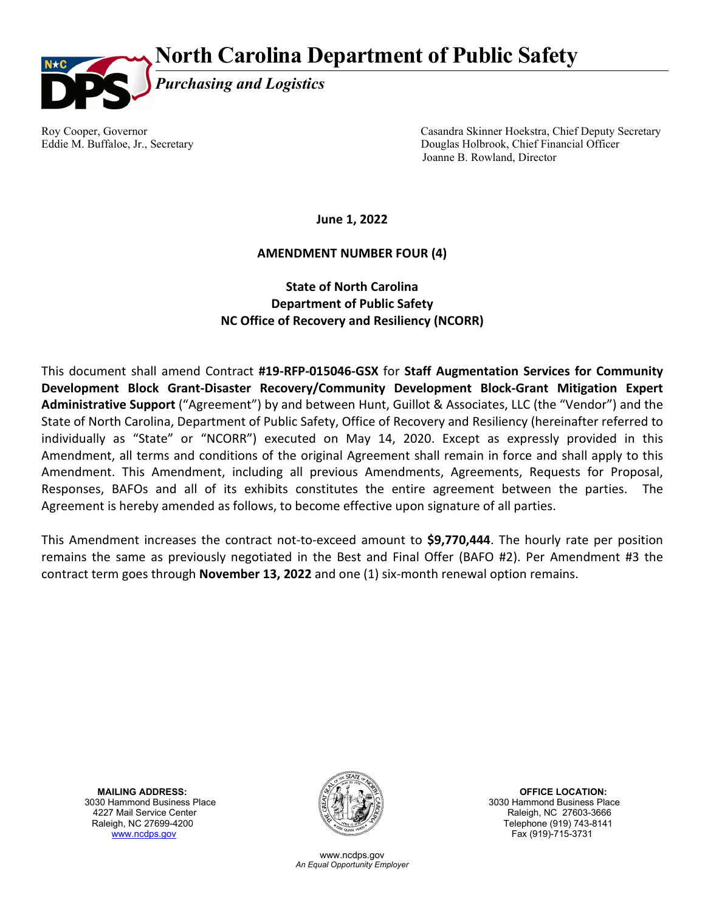## **North Carolina Department of Public Safety**



Roy Cooper, Governor Casandra Skinner Hoekstra, Chief Deputy Secretary Eddie M. Buffaloe, Jr., Secretary Douglas Holbrook, Chief Financial Officer Joanne B. Rowland, Director

**June 1, 2022**

## **AMENDMENT NUMBER FOUR (4)**

## **State of North Carolina Department of Public Safety NC Office of Recovery and Resiliency (NCORR)**

This document shall amend Contract **#19-RFP-015046-GSX** for **Staff Augmentation Services for Community Development Block Grant-Disaster Recovery/Community Development Block-Grant Mitigation Expert Administrative Support** ("Agreement") by and between Hunt, Guillot & Associates, LLC (the "Vendor") and the State of North Carolina, Department of Public Safety, Office of Recovery and Resiliency (hereinafter referred to individually as "State" or "NCORR") executed on May 14, 2020. Except as expressly provided in this Amendment, all terms and conditions of the original Agreement shall remain in force and shall apply to this Amendment. This Amendment, including all previous Amendments, Agreements, Requests for Proposal, Responses, BAFOs and all of its exhibits constitutes the entire agreement between the parties. The Agreement is hereby amended as follows, to become effective upon signature of all parties.

This Amendment increases the contract not-to-exceed amount to **\$9,770,444**. The hourly rate per position remains the same as previously negotiated in the Best and Final Offer (BAFO #2). Per Amendment #3 the contract term goes through **November 13, 2022** and one (1) six-month renewal option remains.

**MAILING ADDRESS:** OFFICE LOCATION:<br>3030 Hammond Business Place (SOM) Service Service Service Service Service Service Service Service Service Service 4227 Mail Service Center **Additional Service Center Additional Service Center Additional Service Center Raleigh, NC 27603-3666**<br>Raleigh, NC 27699-4200 **Raleigh, NC 27699-4200** [www.ncdps.gov](http://www.ncdps.gov/) Fax (919)-715-3731



www.ncdps.gov *An Equal Opportunity Employer* 3030 Hammond Business Place Telephone (919) 743-8141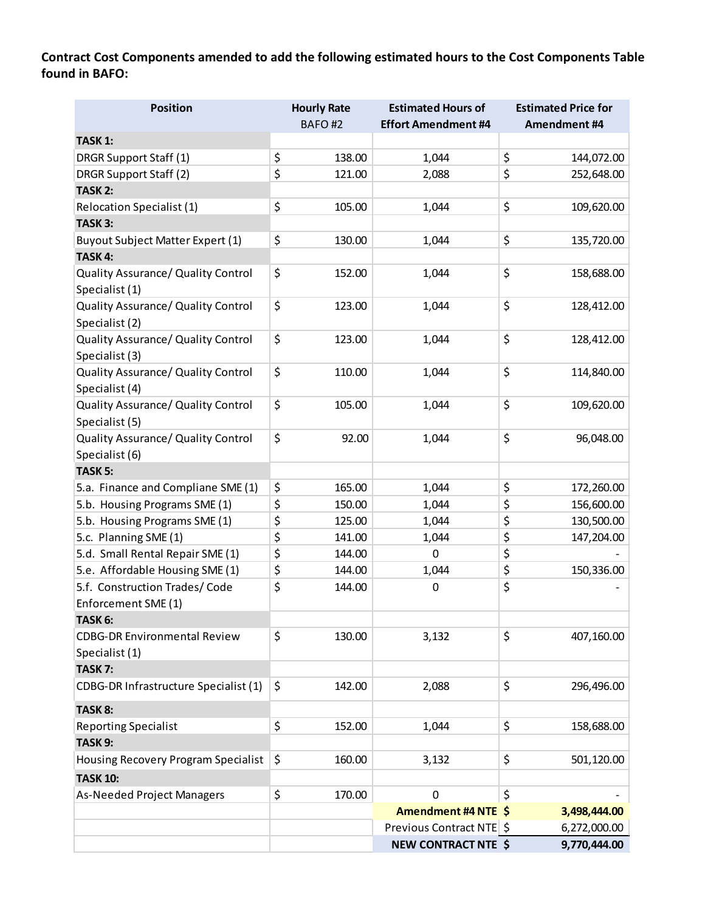**Contract Cost Components amended to add the following estimated hours to the Cost Components Table found in BAFO:**

| <b>Position</b>                         | <b>Hourly Rate</b> | <b>Estimated Hours of</b>  | <b>Estimated Price for</b> |
|-----------------------------------------|--------------------|----------------------------|----------------------------|
|                                         | BAFO#2             | <b>Effort Amendment #4</b> | Amendment #4               |
| <b>TASK 1:</b>                          |                    |                            |                            |
| DRGR Support Staff (1)                  | \$<br>138.00       | 1,044                      | \$<br>144,072.00           |
| DRGR Support Staff (2)                  | \$<br>121.00       | 2,088                      | \$<br>252,648.00           |
| TASK <sub>2:</sub>                      |                    |                            |                            |
| <b>Relocation Specialist (1)</b>        | \$<br>105.00       | 1,044                      | \$<br>109,620.00           |
| TASK 3:                                 |                    |                            |                            |
| <b>Buyout Subject Matter Expert (1)</b> | \$<br>130.00       | 1,044                      | \$<br>135,720.00           |
| TASK 4:                                 |                    |                            |                            |
| Quality Assurance/ Quality Control      | \$<br>152.00       | 1,044                      | \$<br>158,688.00           |
| Specialist (1)                          |                    |                            |                            |
| Quality Assurance/ Quality Control      | \$<br>123.00       | 1,044                      | \$<br>128,412.00           |
| Specialist (2)                          |                    |                            |                            |
| Quality Assurance/ Quality Control      | \$<br>123.00       | 1,044                      | \$<br>128,412.00           |
| Specialist (3)                          |                    |                            |                            |
| Quality Assurance/ Quality Control      | \$<br>110.00       | 1,044                      | \$<br>114,840.00           |
| Specialist (4)                          |                    |                            |                            |
| Quality Assurance/ Quality Control      | \$<br>105.00       | 1,044                      | \$<br>109,620.00           |
| Specialist (5)                          |                    |                            |                            |
| Quality Assurance/ Quality Control      | \$<br>92.00        | 1,044                      | \$<br>96,048.00            |
| Specialist (6)                          |                    |                            |                            |
| TASK <sub>5:</sub>                      |                    |                            |                            |
| 5.a. Finance and Compliane SME (1)      | \$<br>165.00       | 1,044                      | \$<br>172,260.00           |
| 5.b. Housing Programs SME (1)           | \$<br>150.00       | 1,044                      | \$<br>156,600.00           |
| 5.b. Housing Programs SME (1)           | \$<br>125.00       | 1,044                      | \$<br>130,500.00           |
| 5.c. Planning SME (1)                   | \$<br>141.00       | 1,044                      | \$<br>147,204.00           |
| 5.d. Small Rental Repair SME (1)        | \$<br>144.00       | $\mathbf 0$                | \$                         |
| 5.e. Affordable Housing SME (1)         | \$<br>144.00       | 1,044                      | \$<br>150,336.00           |
| 5.f. Construction Trades/Code           | \$<br>144.00       | 0                          | \$                         |
| Enforcement SME (1)                     |                    |                            |                            |
| TASK 6:                                 |                    |                            |                            |
| <b>CDBG-DR Environmental Review</b>     | \$<br>130.00       | 3,132                      | \$<br>407,160.00           |
| Specialist (1)                          |                    |                            |                            |
| TASK <sub>7:</sub>                      |                    |                            |                            |
| CDBG-DR Infrastructure Specialist (1)   | \$<br>142.00       | 2,088                      | \$<br>296,496.00           |
| TASK 8:                                 |                    |                            |                            |
| <b>Reporting Specialist</b>             | \$<br>152.00       | 1,044                      | \$<br>158,688.00           |
| TASK 9:                                 |                    |                            |                            |
| Housing Recovery Program Specialist     | \$<br>160.00       | 3,132                      | \$<br>501,120.00           |
|                                         |                    |                            |                            |
| <b>TASK 10:</b>                         |                    |                            |                            |
| <b>As-Needed Project Managers</b>       | \$<br>170.00       | 0                          | \$                         |
|                                         |                    | Amendment #4 NTE \$        | 3,498,444.00               |
|                                         |                    | Previous Contract NTE \$   | 6,272,000.00               |
|                                         |                    | <b>NEW CONTRACT NTE \$</b> | 9,770,444.00               |